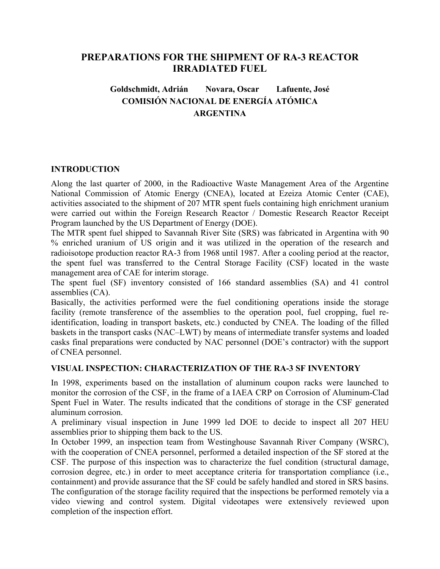# **PREPARATIONS FOR THE SHIPMENT OF RA-3 REACTOR IRRADIATED FUEL**

# **Goldschmidt, Adrián Novara, Oscar Lafuente, José COMISIÓN NACIONAL DE ENERGÍA ATÓMICA ARGENTINA**

## **INTRODUCTION**

Along the last quarter of 2000, in the Radioactive Waste Management Area of the Argentine National Commission of Atomic Energy (CNEA), located at Ezeiza Atomic Center (CAE), activities associated to the shipment of 207 MTR spent fuels containing high enrichment uranium were carried out within the Foreign Research Reactor / Domestic Research Reactor Receipt Program launched by the US Department of Energy (DOE).

The MTR spent fuel shipped to Savannah River Site (SRS) was fabricated in Argentina with 90 % enriched uranium of US origin and it was utilized in the operation of the research and radioisotope production reactor RA-3 from 1968 until 1987. After a cooling period at the reactor, the spent fuel was transferred to the Central Storage Facility (CSF) located in the waste management area of CAE for interim storage.

The spent fuel (SF) inventory consisted of 166 standard assemblies (SA) and 41 control assemblies (CA).

Basically, the activities performed were the fuel conditioning operations inside the storage facility (remote transference of the assemblies to the operation pool, fuel cropping, fuel reidentification, loading in transport baskets, etc.) conducted by CNEA. The loading of the filled baskets in the transport casks (NAC–LWT) by means of intermediate transfer systems and loaded casks final preparations were conducted by NAC personnel (DOE's contractor) with the support of CNEA personnel.

## **VISUAL INSPECTION: CHARACTERIZATION OF THE RA-3 SF INVENTORY**

In 1998, experiments based on the installation of aluminum coupon racks were launched to monitor the corrosion of the CSF, in the frame of a IAEA CRP on Corrosion of Aluminum-Clad Spent Fuel in Water. The results indicated that the conditions of storage in the CSF generated aluminum corrosion.

A preliminary visual inspection in June 1999 led DOE to decide to inspect all 207 HEU assemblies prior to shipping them back to the US.

In October 1999, an inspection team from Westinghouse Savannah River Company (WSRC), with the cooperation of CNEA personnel, performed a detailed inspection of the SF stored at the CSF. The purpose of this inspection was to characterize the fuel condition (structural damage, corrosion degree, etc.) in order to meet acceptance criteria for transportation compliance (i.e., containment) and provide assurance that the SF could be safely handled and stored in SRS basins. The configuration of the storage facility required that the inspections be performed remotely via a video viewing and control system. Digital videotapes were extensively reviewed upon completion of the inspection effort.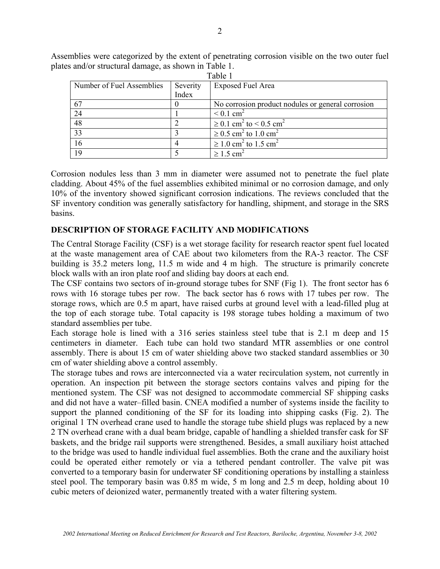| Table 1                   |          |                                                     |
|---------------------------|----------|-----------------------------------------------------|
| Number of Fuel Assemblies | Severity | <b>Exposed Fuel Area</b>                            |
|                           | Index    |                                                     |
| 67                        |          | No corrosion product nodules or general corrosion   |
| 24                        |          | $\leq 0.1$ cm <sup>2</sup>                          |
| 48                        |          | $\geq$ 0.1 cm <sup>2</sup> to < 0.5 cm <sup>2</sup> |
| 33                        |          | $\geq 0.5$ cm <sup>2</sup> to 1.0 cm <sup>2</sup>   |
| 16                        |          | $\geq 1.0$ cm <sup>2</sup> to 1.5 cm <sup>2</sup>   |
| 19                        |          | $\geq 1.5$ cm <sup>2</sup>                          |

Assemblies were categorized by the extent of penetrating corrosion visible on the two outer fuel plates and/or structural damage, as shown in Table 1.

Corrosion nodules less than 3 mm in diameter were assumed not to penetrate the fuel plate cladding. About 45% of the fuel assemblies exhibited minimal or no corrosion damage, and only 10% of the inventory showed significant corrosion indications. The reviews concluded that the SF inventory condition was generally satisfactory for handling, shipment, and storage in the SRS basins.

### **DESCRIPTION OF STORAGE FACILITY AND MODIFICATIONS**

The Central Storage Facility (CSF) is a wet storage facility for research reactor spent fuel located at the waste management area of CAE about two kilometers from the RA-3 reactor. The CSF building is 35.2 meters long, 11.5 m wide and 4 m high. The structure is primarily concrete block walls with an iron plate roof and sliding bay doors at each end.

The CSF contains two sectors of in-ground storage tubes for SNF (Fig 1). The front sector has 6 rows with 16 storage tubes per row. The back sector has 6 rows with 17 tubes per row. The storage rows, which are 0.5 m apart, have raised curbs at ground level with a lead-filled plug at the top of each storage tube. Total capacity is 198 storage tubes holding a maximum of two standard assemblies per tube.

Each storage hole is lined with a 316 series stainless steel tube that is 2.1 m deep and 15 centimeters in diameter. Each tube can hold two standard MTR assemblies or one control assembly. There is about 15 cm of water shielding above two stacked standard assemblies or 30 cm of water shielding above a control assembly.

The storage tubes and rows are interconnected via a water recirculation system, not currently in operation. An inspection pit between the storage sectors contains valves and piping for the mentioned system. The CSF was not designed to accommodate commercial SF shipping casks and did not have a water–filled basin. CNEA modified a number of systems inside the facility to support the planned conditioning of the SF for its loading into shipping casks (Fig. 2). The original 1 TN overhead crane used to handle the storage tube shield plugs was replaced by a new 2 TN overhead crane with a dual beam bridge, capable of handling a shielded transfer cask for SF baskets, and the bridge rail supports were strengthened. Besides, a small auxiliary hoist attached to the bridge was used to handle individual fuel assemblies. Both the crane and the auxiliary hoist could be operated either remotely or via a tethered pendant controller. The valve pit was converted to a temporary basin for underwater SF conditioning operations by installing a stainless steel pool. The temporary basin was 0.85 m wide, 5 m long and 2.5 m deep, holding about 10 cubic meters of deionized water, permanently treated with a water filtering system.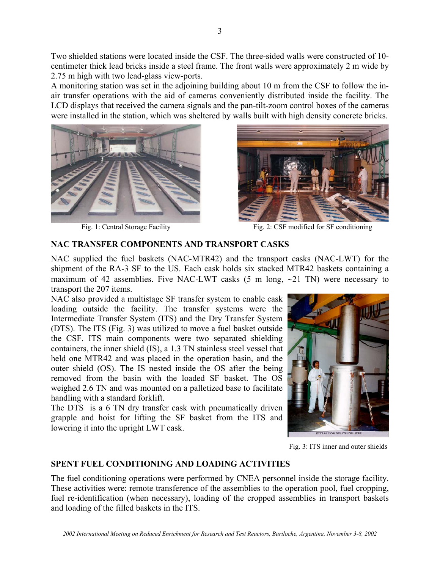Two shielded stations were located inside the CSF. The three-sided walls were constructed of 10 centimeter thick lead bricks inside a steel frame. The front walls were approximately 2 m wide by 2.75 m high with two lead-glass view-ports.

A monitoring station was set in the adjoining building about 10 m from the CSF to follow the inair transfer operations with the aid of cameras conveniently distributed inside the facility. The LCD displays that received the camera signals and the pan-tilt-zoom control boxes of the cameras were installed in the station, which was sheltered by walls built with high density concrete bricks.





Fig. 1: Central Storage Facility Fig. 2: CSF modified for SF conditioning

## **NAC TRANSFER COMPONENTS AND TRANSPORT CASKS**

NAC supplied the fuel baskets (NAC-MTR42) and the transport casks (NAC-LWT) for the shipment of the RA-3 SF to the US. Each cask holds six stacked MTR42 baskets containing a maximum of 42 assemblies. Five NAC-LWT casks (5 m long, ∼21 TN) were necessary to transport the 207 items.

NAC also provided a multistage SF transfer system to enable cask loading outside the facility. The transfer systems were the Intermediate Transfer System (ITS) and the Dry Transfer System (DTS). The ITS (Fig. 3) was utilized to move a fuel basket outside the CSF. ITS main components were two separated shielding containers, the inner shield (IS), a 1.3 TN stainless steel vessel that held one MTR42 and was placed in the operation basin, and the outer shield (OS). The IS nested inside the OS after the being removed from the basin with the loaded SF basket. The OS weighed 2.6 TN and was mounted on a palletized base to facilitate handling with a standard forklift.

The DTS is a 6 TN dry transfer cask with pneumatically driven grapple and hoist for lifting the SF basket from the ITS and lowering it into the upright LWT cask.



Fig. 3: ITS inner and outer shields

## **SPENT FUEL CONDITIONING AND LOADING ACTIVITIES**

The fuel conditioning operations were performed by CNEA personnel inside the storage facility. These activities were: remote transference of the assemblies to the operation pool, fuel cropping, fuel re-identification (when necessary), loading of the cropped assemblies in transport baskets and loading of the filled baskets in the ITS.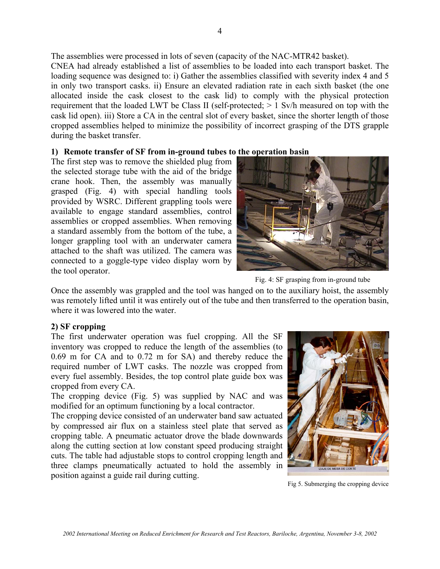The assemblies were processed in lots of seven (capacity of the NAC-MTR42 basket).

CNEA had already established a list of assemblies to be loaded into each transport basket. The loading sequence was designed to: i) Gather the assemblies classified with severity index 4 and 5 in only two transport casks. ii) Ensure an elevated radiation rate in each sixth basket (the one allocated inside the cask closest to the cask lid) to comply with the physical protection requirement that the loaded LWT be Class II (self-protected; > 1 Sv/h measured on top with the cask lid open). iii) Store a CA in the central slot of every basket, since the shorter length of those cropped assemblies helped to minimize the possibility of incorrect grasping of the DTS grapple during the basket transfer.

### **1) Remote transfer of SF from in-ground tubes to the operation basin**

The first step was to remove the shielded plug from the selected storage tube with the aid of the bridge crane hook. Then, the assembly was manually grasped (Fig. 4) with special handling tools provided by WSRC. Different grappling tools were available to engage standard assemblies, control assemblies or cropped assemblies. When removing a standard assembly from the bottom of the tube, a longer grappling tool with an underwater camera attached to the shaft was utilized. The camera was connected to a goggle-type video display worn by the tool operator.



Fig. 4: SF grasping from in-ground tube

Once the assembly was grappled and the tool was hanged on to the auxiliary hoist, the assembly was remotely lifted until it was entirely out of the tube and then transferred to the operation basin, where it was lowered into the water.

## **2) SF cropping**

The first underwater operation was fuel cropping. All the SF inventory was cropped to reduce the length of the assemblies (to 0.69 m for CA and to 0.72 m for SA) and thereby reduce the required number of LWT casks. The nozzle was cropped from every fuel assembly. Besides, the top control plate guide box was cropped from every CA.

The cropping device (Fig. 5) was supplied by NAC and was modified for an optimum functioning by a local contractor.

The cropping device consisted of an underwater band saw actuated by compressed air flux on a stainless steel plate that served as cropping table. A pneumatic actuator drove the blade downwards along the cutting section at low constant speed producing straight cuts. The table had adjustable stops to control cropping length and three clamps pneumatically actuated to hold the assembly in position against a guide rail during cutting.



Fig 5. Submerging the cropping device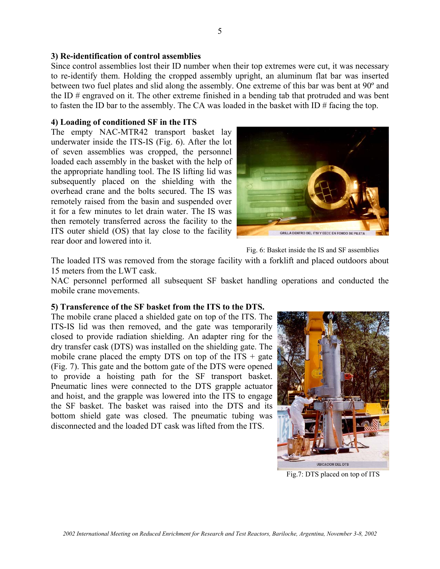#### **3) Re-identification of control assemblies**

Since control assemblies lost their ID number when their top extremes were cut, it was necessary to re-identify them. Holding the cropped assembly upright, an aluminum flat bar was inserted between two fuel plates and slid along the assembly. One extreme of this bar was bent at 90º and the ID # engraved on it. The other extreme finished in a bending tab that protruded and was bent to fasten the ID bar to the assembly. The CA was loaded in the basket with  $ID \#$  facing the top.

#### **4) Loading of conditioned SF in the ITS**

The empty NAC-MTR42 transport basket lay underwater inside the ITS-IS (Fig. 6). After the lot of seven assemblies was cropped, the personnel loaded each assembly in the basket with the help of the appropriate handling tool. The IS lifting lid was subsequently placed on the shielding with the overhead crane and the bolts secured. The IS was remotely raised from the basin and suspended over it for a few minutes to let drain water. The IS was then remotely transferred across the facility to the ITS outer shield (OS) that lay close to the facility rear door and lowered into it.



Fig. 6: Basket inside the IS and SF assemblies

The loaded ITS was removed from the storage facility with a forklift and placed outdoors about 15 meters from the LWT cask.

NAC personnel performed all subsequent SF basket handling operations and conducted the mobile crane movements.

#### **5) Transference of the SF basket from the ITS to the DTS.**

The mobile crane placed a shielded gate on top of the ITS. The ITS-IS lid was then removed, and the gate was temporarily closed to provide radiation shielding. An adapter ring for the dry transfer cask (DTS) was installed on the shielding gate. The mobile crane placed the empty DTS on top of the  $ITS + gate$ (Fig. 7). This gate and the bottom gate of the DTS were opened to provide a hoisting path for the SF transport basket. Pneumatic lines were connected to the DTS grapple actuator and hoist, and the grapple was lowered into the ITS to engage the SF basket. The basket was raised into the DTS and its bottom shield gate was closed. The pneumatic tubing was disconnected and the loaded DT cask was lifted from the ITS.



Fig.7: DTS placed on top of ITS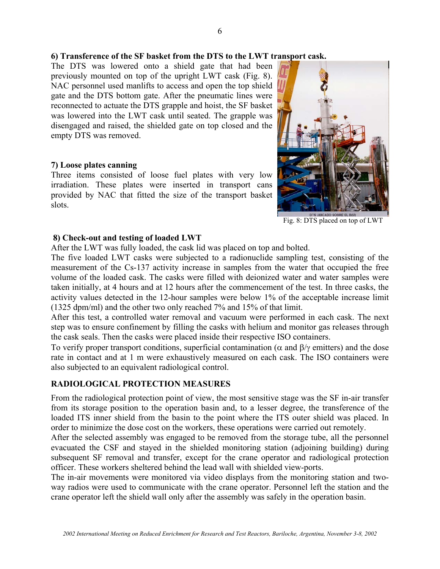#### **6) Transference of the SF basket from the DTS to the LWT transport cask.**

The DTS was lowered onto a shield gate that had been previously mounted on top of the upright LWT cask (Fig. 8). NAC personnel used manlifts to access and open the top shield gate and the DTS bottom gate. After the pneumatic lines were reconnected to actuate the DTS grapple and hoist, the SF basket was lowered into the LWT cask until seated. The grapple was disengaged and raised, the shielded gate on top closed and the empty DTS was removed.

#### **7) Loose plates canning**

Three items consisted of loose fuel plates with very low irradiation. These plates were inserted in transport cans provided by NAC that fitted the size of the transport basket slots.



Fig. 8: DTS placed on top of LWT

#### **8) Check-out and testing of loaded LWT**

After the LWT was fully loaded, the cask lid was placed on top and bolted.

The five loaded LWT casks were subjected to a radionuclide sampling test, consisting of the measurement of the Cs-137 activity increase in samples from the water that occupied the free volume of the loaded cask. The casks were filled with deionized water and water samples were taken initially, at 4 hours and at 12 hours after the commencement of the test. In three casks, the activity values detected in the 12-hour samples were below 1% of the acceptable increase limit (1325 dpm/ml) and the other two only reached 7% and 15% of that limit.

After this test, a controlled water removal and vacuum were performed in each cask. The next step was to ensure confinement by filling the casks with helium and monitor gas releases through the cask seals. Then the casks were placed inside their respective ISO containers.

To verify proper transport conditions, superficial contamination ( $\alpha$  and  $\beta/\gamma$  emitters) and the dose rate in contact and at 1 m were exhaustively measured on each cask. The ISO containers were also subjected to an equivalent radiological control.

### **RADIOLOGICAL PROTECTION MEASURES**

From the radiological protection point of view, the most sensitive stage was the SF in-air transfer from its storage position to the operation basin and, to a lesser degree, the transference of the loaded ITS inner shield from the basin to the point where the ITS outer shield was placed. In order to minimize the dose cost on the workers, these operations were carried out remotely.

After the selected assembly was engaged to be removed from the storage tube, all the personnel evacuated the CSF and stayed in the shielded monitoring station (adjoining building) during subsequent SF removal and transfer, except for the crane operator and radiological protection officer. These workers sheltered behind the lead wall with shielded view-ports.

The in-air movements were monitored via video displays from the monitoring station and twoway radios were used to communicate with the crane operator. Personnel left the station and the crane operator left the shield wall only after the assembly was safely in the operation basin.